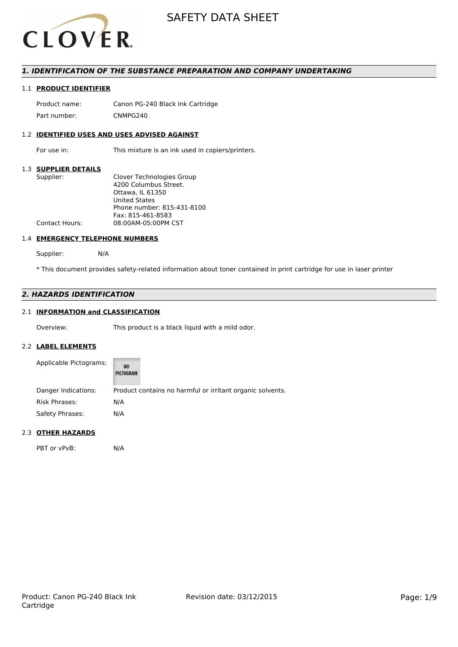

# *1. IDENTIFICATION OF THE SUBSTANCE PREPARATION AND COMPANY UNDERTAKING*

# 1.1 **PRODUCT IDENTIFIER**

Product name: Canon PG-240 Black Ink Cartridge Part number: CNMPG240

# 1.2 **IDENTIFIED USES AND USES ADVISED AGAINST**

For use in: This mixture is an ink used in copiers/printers.

## 1.3 **SUPPLIER DETAILS**

| Supplier:             | Clover Technologies Group  |
|-----------------------|----------------------------|
|                       | 4200 Columbus Street.      |
|                       | Ottawa, IL 61350           |
|                       | <b>United States</b>       |
|                       | Phone number: 815-431-8100 |
|                       | Fax: 815-461-8583          |
| <b>Contact Hours:</b> | 08:00AM-05:00PM CST        |
|                       |                            |

## 1.4 **EMERGENCY TELEPHONE NUMBERS**

Supplier: N/A

\* This document provides safety-related information about toner contained in print cartridge for use in laser printer

# *2. HAZARDS IDENTIFICATION*

# 2.1 **INFORMATION and CLASSIFICATION**

Overview: This product is a black liquid with a mild odor.

## 2.2 **LABEL ELEMENTS**

| Applicable Pictograms: | NO<br>PICTOGRAM |                                                           |
|------------------------|-----------------|-----------------------------------------------------------|
| Danger Indications:    |                 | Product contains no harmful or irritant organic solvents. |
| <b>Risk Phrases:</b>   | N/A             |                                                           |
| Safety Phrases:        | N/A             |                                                           |

## 2.3 **OTHER HAZARDS**

PBT or vPvB: N/A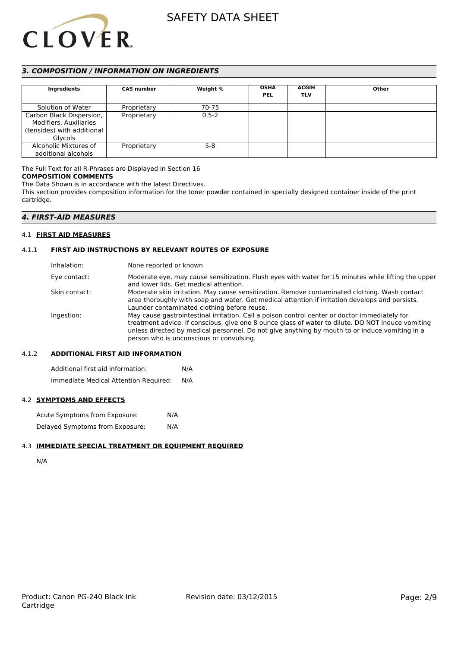

# *3. COMPOSITION / INFORMATION ON INGREDIENTS*

| Ingredients                                                                                        | <b>CAS number</b> | Weight %  | <b>OSHA</b><br><b>PEL</b> | <b>ACGIH</b><br><b>TLV</b> | Other |
|----------------------------------------------------------------------------------------------------|-------------------|-----------|---------------------------|----------------------------|-------|
| Solution of Water                                                                                  | Proprietary       | 70-75     |                           |                            |       |
| Carbon Black Dispersion,<br>Modifiers, Auxiliaries<br>(tensides) with additional<br><b>Glycols</b> | Proprietary       | $0.5 - 2$ |                           |                            |       |
| Alcoholic Mixtures of<br>additional alcohols                                                       | Proprietary       | $5-8$     |                           |                            |       |

The Full Text for all R-Phrases are Displayed in Section 16 **COMPOSITION COMMENTS**

The Data Shown is in accordance with the latest Directives.

This section provides composition information for the toner powder contained in specially designed container inside of the print cartridge.

# *4. FIRST-AID MEASURES*

## 4.1 **FIRST AID MEASURES**

## 4.1.1 **FIRST AID INSTRUCTIONS BY RELEVANT ROUTES OF EXPOSURE**

| Inhalation:   | None reported or known                                                                                                                                                                                                                                                                                                                           |
|---------------|--------------------------------------------------------------------------------------------------------------------------------------------------------------------------------------------------------------------------------------------------------------------------------------------------------------------------------------------------|
| Eye contact:  | Moderate eye, may cause sensitization. Flush eyes with water for 15 minutes while lifting the upper<br>and lower lids. Get medical attention.                                                                                                                                                                                                    |
| Skin contact: | Moderate skin irritation. May cause sensitization. Remove contaminated clothing. Wash contact<br>area thoroughly with soap and water. Get medical attention if irritation develops and persists.<br>Launder contaminated clothing before reuse.                                                                                                  |
| Ingestion:    | May cause gastrointestinal irritation. Call a poison control center or doctor immediately for<br>treatment advice. If conscious, give one 8 ounce glass of water to dilute. DO NOT induce vomiting<br>unless directed by medical personnel. Do not give anything by mouth to or induce vomiting in a<br>person who is unconscious or convulsing. |

## 4.1.2 **ADDITIONAL FIRST AID INFORMATION**

Additional first aid information: N/A Immediate Medical Attention Required: N/A

## 4.2 **SYMPTOMS AND EFFECTS**

Acute Symptoms from Exposure: N/A Delayed Symptoms from Exposure: N/A

## 4.3 **IMMEDIATE SPECIAL TREATMENT OR EQUIPMENT REQUIRED**

N/A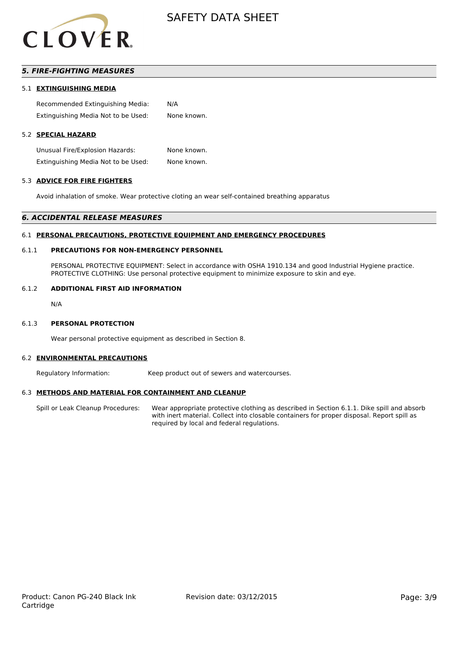

# *5. FIRE-FIGHTING MEASURES*

## 5.1 **EXTINGUISHING MEDIA**

Recommended Extinguishing Media: N/A Extinguishing Media Not to be Used: None known.

# 5.2 **SPECIAL HAZARD**

Unusual Fire/Explosion Hazards: None known. Extinguishing Media Not to be Used: None known.

#### 5.3 **ADVICE FOR FIRE FIGHTERS**

Avoid inhalation of smoke. Wear protective cloting an wear self-contained breathing apparatus

#### *6. ACCIDENTAL RELEASE MEASURES*

#### 6.1 **PERSONAL PRECAUTIONS, PROTECTIVE EQUIPMENT AND EMERGENCY PROCEDURES**

## 6.1.1 **PRECAUTIONS FOR NON-EMERGENCY PERSONNEL**

PERSONAL PROTECTIVE EQUIPMENT: Select in accordance with OSHA 1910.134 and good Industrial Hygiene practice. PROTECTIVE CLOTHING: Use personal protective equipment to minimize exposure to skin and eye.

#### 6.1.2 **ADDITIONAL FIRST AID INFORMATION**

N/A

#### 6.1.3 **PERSONAL PROTECTION**

Wear personal protective equipment as described in Section 8.

#### 6.2 **ENVIRONMENTAL PRECAUTIONS**

Regulatory Information: Keep product out of sewers and watercourses.

#### 6.3 **METHODS AND MATERIAL FOR CONTAINMENT AND CLEANUP**

Spill or Leak Cleanup Procedures: Wear appropriate protective clothing as described in Section 6.1.1. Dike spill and absorb with inert material. Collect into closable containers for proper disposal. Report spill as required by local and federal regulations.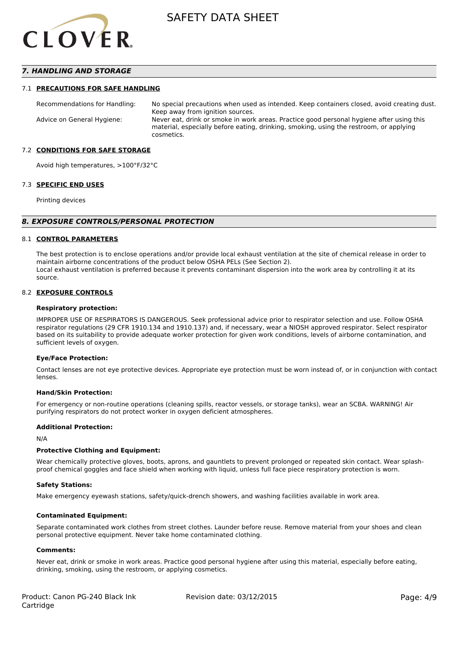

# *7. HANDLING AND STORAGE*

#### 7.1 **PRECAUTIONS FOR SAFE HANDLING**

Recommendations for Handling: No special precautions when used as intended. Keep containers closed, avoid creating dust. Keep away from ignition sources. Advice on General Hygiene: Never eat, drink or smoke in work areas. Practice good personal hygiene after using this material, especially before eating, drinking, smoking, using the restroom, or applying cosmetics.

#### 7.2 **CONDITIONS FOR SAFE STORAGE**

Avoid high temperatures, >100°F/32°C

#### 7.3 **SPECIFIC END USES**

Printing devices

#### *8. EXPOSURE CONTROLS/PERSONAL PROTECTION*

### 8.1 **CONTROL PARAMETERS**

The best protection is to enclose operations and/or provide local exhaust ventilation at the site of chemical release in order to maintain airborne concentrations of the product below OSHA PELs (See Section 2). Local exhaust ventilation is preferred because it prevents contaminant dispersion into the work area by controlling it at its source.

#### 8.2 **EXPOSURE CONTROLS**

#### **Respiratory protection:**

IMPROPER USE OF RESPIRATORS IS DANGEROUS. Seek professional advice prior to respirator selection and use. Follow OSHA respirator regulations (29 CFR 1910.134 and 1910.137) and, if necessary, wear a NIOSH approved respirator. Select respirator based on its suitability to provide adequate worker protection for given work conditions, levels of airborne contamination, and sufficient levels of oxygen.

#### **Eye/Face Protection:**

Contact lenses are not eye protective devices. Appropriate eye protection must be worn instead of, or in conjunction with contact lenses.

#### **Hand/Skin Protection:**

For emergency or non-routine operations (cleaning spills, reactor vessels, or storage tanks), wear an SCBA. WARNING! Air purifying respirators do not protect worker in oxygen deficient atmospheres.

## **Additional Protection:**

N/A

## **Protective Clothing and Equipment:**

Wear chemically protective gloves, boots, aprons, and gauntlets to prevent prolonged or repeated skin contact. Wear splashproof chemical goggles and face shield when working with liquid, unless full face piece respiratory protection is worn.

#### **Safety Stations:**

Make emergency eyewash stations, safety/quick-drench showers, and washing facilities available in work area.

#### **Contaminated Equipment:**

Separate contaminated work clothes from street clothes. Launder before reuse. Remove material from your shoes and clean personal protective equipment. Never take home contaminated clothing.

## **Comments:**

Never eat, drink or smoke in work areas. Practice good personal hygiene after using this material, especially before eating, drinking, smoking, using the restroom, or applying cosmetics.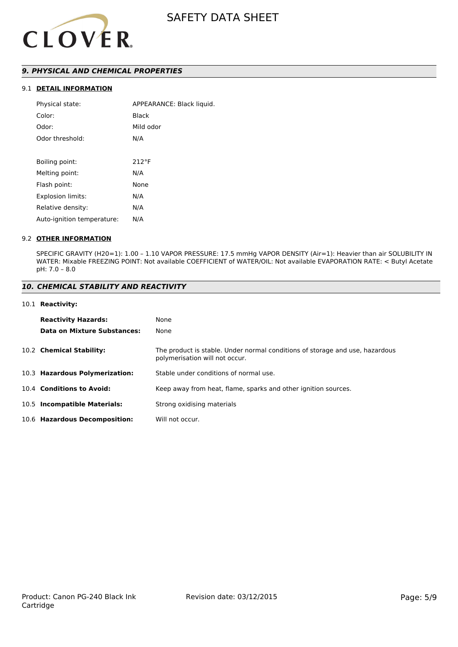

# *9. PHYSICAL AND CHEMICAL PROPERTIES*

# 9.1 **DETAIL INFORMATION**

| Physical state:            | APPEARANCE: Black liquid. |
|----------------------------|---------------------------|
| Color:                     | Black                     |
| Odor:                      | Mild odor                 |
| Odor threshold:            | N/A                       |
|                            |                           |
| Boiling point:             | $212^{\circ}F$            |
| Melting point:             | N/A                       |
| Flash point:               | None                      |
| <b>Explosion limits:</b>   | N/A                       |
| Relative density:          | N/A                       |
| Auto-ignition temperature: | N/A                       |
|                            |                           |

## 9.2 **OTHER INFORMATION**

SPECIFIC GRAVITY (H20=1): 1.00 – 1.10 VAPOR PRESSURE: 17.5 mmHg VAPOR DENSITY (Air=1): Heavier than air SOLUBILITY IN WATER: Mixable FREEZING POINT: Not available COEFFICIENT of WATER/OIL: Not available EVAPORATION RATE: < Butyl Acetate pH: 7.0 – 8.0

## *10. CHEMICAL STABILITY AND REACTIVITY*

#### 10.1 **Reactivity:**

| <b>Reactivity Hazards:</b>     | None                                                                                                           |
|--------------------------------|----------------------------------------------------------------------------------------------------------------|
| Data on Mixture Substances:    | None                                                                                                           |
| 10.2 Chemical Stability:       | The product is stable. Under normal conditions of storage and use, hazardous<br>polymerisation will not occur. |
| 10.3 Hazardous Polymerization: | Stable under conditions of normal use.                                                                         |
| 10.4 Conditions to Avoid:      | Keep away from heat, flame, sparks and other ignition sources.                                                 |
| 10.5 Incompatible Materials:   | Strong oxidising materials                                                                                     |
| 10.6 Hazardous Decomposition:  | Will not occur.                                                                                                |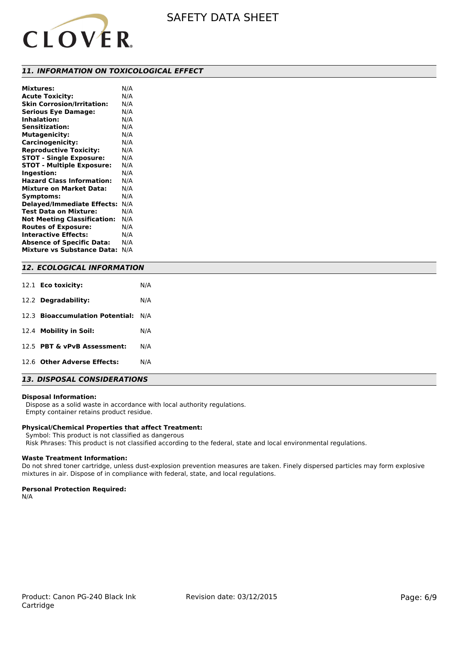

## *11. INFORMATION ON TOXICOLOGICAL EFFECT*

| <b>Mixtures:</b>                   | N/A |
|------------------------------------|-----|
| <b>Acute Toxicity:</b>             | N/A |
| <b>Skin Corrosion/Irritation:</b>  | N/A |
| <b>Serious Eye Damage:</b>         | N/A |
| <b>Inhalation:</b>                 | N/A |
| <b>Sensitization:</b>              | N/A |
| <b>Mutagenicity:</b>               | N/A |
| Carcinogenicity:                   | N/A |
| <b>Reproductive Toxicity:</b>      | N/A |
| <b>STOT - Single Exposure:</b>     | N/A |
| <b>STOT - Multiple Exposure:</b>   | N/A |
| Ingestion:                         | N/A |
| <b>Hazard Class Information:</b>   | N/A |
| <b>Mixture on Market Data:</b>     | N/A |
| Symptoms:                          | N/A |
| <b>Delayed/Immediate Effects:</b>  | N/A |
| Test Data on Mixture:              | N/A |
| <b>Not Meeting Classification:</b> | N/A |
| <b>Routes of Exposure:</b>         | N/A |
| <b>Interactive Effects:</b>        | N/A |
| <b>Absence of Specific Data:</b>   | N/A |
| <b>Mixture vs Substance Data:</b>  | N/A |

## *12. ECOLOGICAL INFORMATION*

| 12.1 <b>Eco toxicity:</b>           | N/A |
|-------------------------------------|-----|
| 12.2 Degradability:                 | N/A |
| 12.3 Bioaccumulation Potential: N/A |     |
| 12.4 Mobility in Soil:              | N/A |
| 12.5 PBT & vPvB Assessment:         | N/A |
| 12.6 Other Adverse Effects:         | N/A |

# *13. DISPOSAL CONSIDERATIONS*

#### **Disposal Information:**

 Dispose as a solid waste in accordance with local authority regulations. Empty container retains product residue.

# **Physical/Chemical Properties that affect Treatment:**

Symbol: This product is not classified as dangerous

Risk Phrases: This product is not classified according to the federal, state and local environmental regulations.

## **Waste Treatment Information:**

Do not shred toner cartridge, unless dust-explosion prevention measures are taken. Finely dispersed particles may form explosive mixtures in air. Dispose of in compliance with federal, state, and local regulations.

#### **Personal Protection Required:**

N/A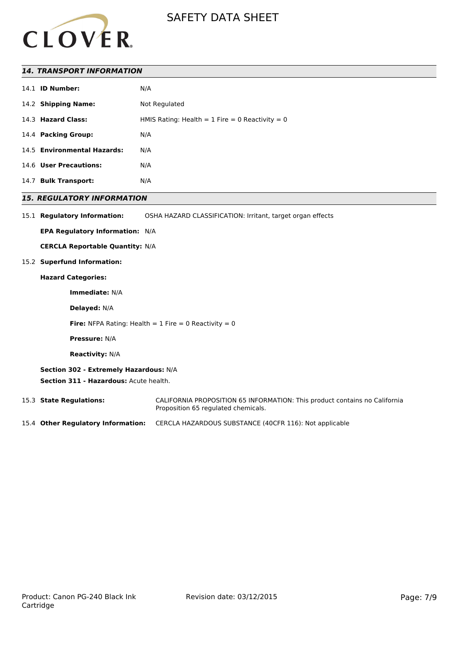

# *14. TRANSPORT INFORMATION*

| 14.1 | <b>ID Number:</b>           | N/A                                               |
|------|-----------------------------|---------------------------------------------------|
|      | 14.2 Shipping Name:         | Not Regulated                                     |
|      | 14.3 Hazard Class:          | HMIS Rating: Health = $1$ Fire = 0 Reactivity = 0 |
|      | 14.4 Packing Group:         | N/A                                               |
|      | 14.5 Environmental Hazards: | N/A                                               |
|      | 14.6 User Precautions:      | N/A                                               |
| 14.7 | <b>Bulk Transport:</b>      | N/A                                               |

# *15. REGULATORY INFORMATION*

15.1 **Regulatory Information:** OSHA HAZARD CLASSIFICATION: Irritant, target organ effects

**EPA Regulatory Information:** N/A

**CERCLA Reportable Quantity:** N/A

## 15.2 **Superfund Information:**

#### **Hazard Categories:**

**Immediate:** N/A

**Delayed:** N/A

**Fire:** NFPA Rating: Health  $= 1$  Fire  $= 0$  Reactivity  $= 0$ 

**Pressure:** N/A

**Reactivity:** N/A

**Section 302 - Extremely Hazardous:** N/A **Section 311 - Hazardous:** Acute health.

15.3 **State Regulations:** CALIFORNIA PROPOSITION 65 INFORMATION: This product contains no California Proposition 65 regulated chemicals.

15.4 **Other Regulatory Information:** CERCLA HAZARDOUS SUBSTANCE (40CFR 116): Not applicable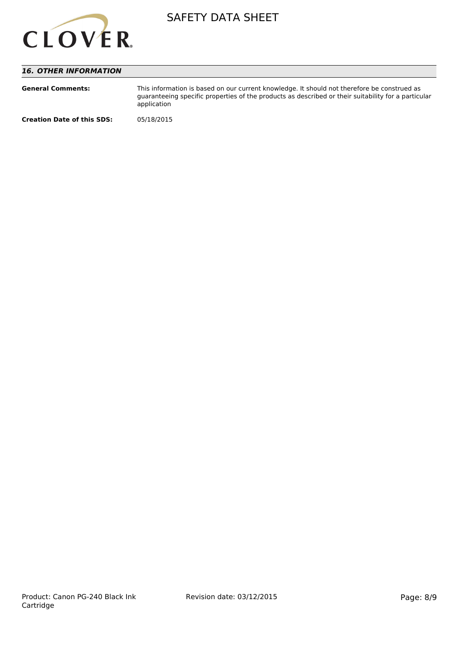

# *16. OTHER INFORMATION*

| <b>General Comments:</b>          | This information is based on our current knowledge. It should not therefore be construed as<br>quaranteeing specific properties of the products as described or their suitability for a particular<br>application |
|-----------------------------------|-------------------------------------------------------------------------------------------------------------------------------------------------------------------------------------------------------------------|
| <b>Creation Date of this SDS:</b> | 05/18/2015                                                                                                                                                                                                        |